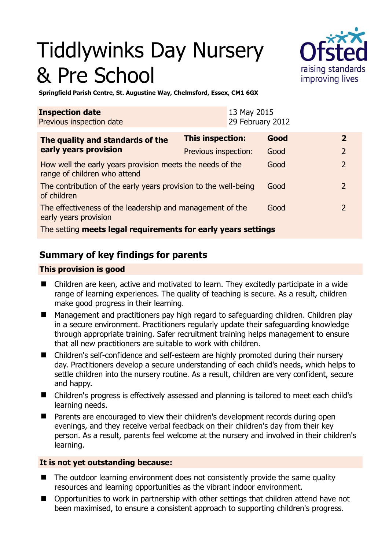# Tiddlywinks Day Nursery & Pre School



**Springfield Parish Centre, St. Augustine Way, Chelmsford, Essex, CM1 6GX** 

| <b>Inspection date</b><br>Previous inspection date                                        |                         | 13 May 2015<br>29 February 2012 |      |                         |
|-------------------------------------------------------------------------------------------|-------------------------|---------------------------------|------|-------------------------|
| The quality and standards of the                                                          | <b>This inspection:</b> |                                 | Good | $\overline{\mathbf{2}}$ |
| early years provision                                                                     | Previous inspection:    |                                 | Good | $\overline{2}$          |
| How well the early years provision meets the needs of the<br>range of children who attend |                         |                                 | Good | $\overline{2}$          |
| The contribution of the early years provision to the well-being<br>of children            |                         |                                 | Good | $\overline{2}$          |
| The effectiveness of the leadership and management of the<br>early years provision        |                         |                                 | Good | 2                       |
| The setting meets legal requirements for early years settings                             |                         |                                 |      |                         |

# **Summary of key findings for parents**

## **This provision is good**

- Children are keen, active and motivated to learn. They excitedly participate in a wide range of learning experiences. The quality of teaching is secure. As a result, children make good progress in their learning.
- **Management and practitioners pay high regard to safeguarding children. Children play** in a secure environment. Practitioners regularly update their safeguarding knowledge through appropriate training. Safer recruitment training helps management to ensure that all new practitioners are suitable to work with children.
- Children's self-confidence and self-esteem are highly promoted during their nursery day. Practitioners develop a secure understanding of each child's needs, which helps to settle children into the nursery routine. As a result, children are very confident, secure and happy.
- Children's progress is effectively assessed and planning is tailored to meet each child's learning needs.
- Parents are encouraged to view their children's development records during open evenings, and they receive verbal feedback on their children's day from their key person. As a result, parents feel welcome at the nursery and involved in their children's learning.

#### **It is not yet outstanding because:**

- The outdoor learning environment does not consistently provide the same quality resources and learning opportunities as the vibrant indoor environment.
- Opportunities to work in partnership with other settings that children attend have not been maximised, to ensure a consistent approach to supporting children's progress.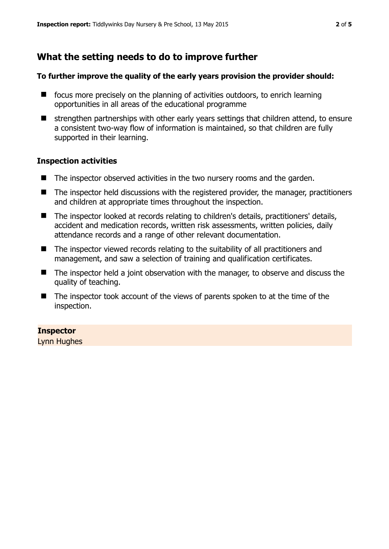# **What the setting needs to do to improve further**

#### **To further improve the quality of the early years provision the provider should:**

- $\blacksquare$  focus more precisely on the planning of activities outdoors, to enrich learning opportunities in all areas of the educational programme
- $\blacksquare$  strengthen partnerships with other early years settings that children attend, to ensure a consistent two-way flow of information is maintained, so that children are fully supported in their learning.

#### **Inspection activities**

- The inspector observed activities in the two nursery rooms and the garden.
- The inspector held discussions with the registered provider, the manager, practitioners and children at appropriate times throughout the inspection.
- The inspector looked at records relating to children's details, practitioners' details, accident and medication records, written risk assessments, written policies, daily attendance records and a range of other relevant documentation.
- The inspector viewed records relating to the suitability of all practitioners and management, and saw a selection of training and qualification certificates.
- The inspector held a joint observation with the manager, to observe and discuss the quality of teaching.
- The inspector took account of the views of parents spoken to at the time of the inspection.

#### **Inspector**

Lynn Hughes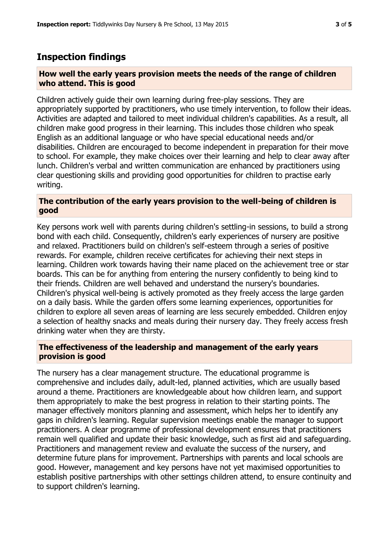# **Inspection findings**

#### **How well the early years provision meets the needs of the range of children who attend. This is good**

Children actively guide their own learning during free-play sessions. They are appropriately supported by practitioners, who use timely intervention, to follow their ideas. Activities are adapted and tailored to meet individual children's capabilities. As a result, all children make good progress in their learning. This includes those children who speak English as an additional language or who have special educational needs and/or disabilities. Children are encouraged to become independent in preparation for their move to school. For example, they make choices over their learning and help to clear away after lunch. Children's verbal and written communication are enhanced by practitioners using clear questioning skills and providing good opportunities for children to practise early writing.

## **The contribution of the early years provision to the well-being of children is good**

Key persons work well with parents during children's settling-in sessions, to build a strong bond with each child. Consequently, children's early experiences of nursery are positive and relaxed. Practitioners build on children's self-esteem through a series of positive rewards. For example, children receive certificates for achieving their next steps in learning. Children work towards having their name placed on the achievement tree or star boards. This can be for anything from entering the nursery confidently to being kind to their friends. Children are well behaved and understand the nursery's boundaries. Children's physical well-being is actively promoted as they freely access the large garden on a daily basis. While the garden offers some learning experiences, opportunities for children to explore all seven areas of learning are less securely embedded. Children enjoy a selection of healthy snacks and meals during their nursery day. They freely access fresh drinking water when they are thirsty.

## **The effectiveness of the leadership and management of the early years provision is good**

The nursery has a clear management structure. The educational programme is comprehensive and includes daily, adult-led, planned activities, which are usually based around a theme. Practitioners are knowledgeable about how children learn, and support them appropriately to make the best progress in relation to their starting points. The manager effectively monitors planning and assessment, which helps her to identify any gaps in children's learning. Regular supervision meetings enable the manager to support practitioners. A clear programme of professional development ensures that practitioners remain well qualified and update their basic knowledge, such as first aid and safeguarding. Practitioners and management review and evaluate the success of the nursery, and determine future plans for improvement. Partnerships with parents and local schools are good. However, management and key persons have not yet maximised opportunities to establish positive partnerships with other settings children attend, to ensure continuity and to support children's learning.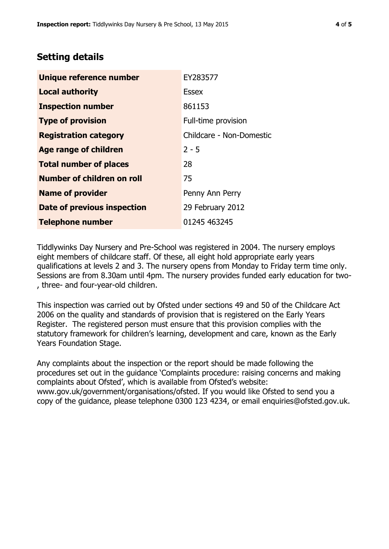## **Setting details**

| Unique reference number       | EY283577                 |  |  |
|-------------------------------|--------------------------|--|--|
| <b>Local authority</b>        | <b>Essex</b>             |  |  |
| <b>Inspection number</b>      | 861153                   |  |  |
| <b>Type of provision</b>      | Full-time provision      |  |  |
| <b>Registration category</b>  | Childcare - Non-Domestic |  |  |
| <b>Age range of children</b>  | $2 - 5$                  |  |  |
| <b>Total number of places</b> | 28                       |  |  |
| Number of children on roll    | 75                       |  |  |
| <b>Name of provider</b>       | Penny Ann Perry          |  |  |
| Date of previous inspection   | 29 February 2012         |  |  |
| <b>Telephone number</b>       | 01245 463245             |  |  |

Tiddlywinks Day Nursery and Pre-School was registered in 2004. The nursery employs eight members of childcare staff. Of these, all eight hold appropriate early years qualifications at levels 2 and 3. The nursery opens from Monday to Friday term time only. Sessions are from 8.30am until 4pm. The nursery provides funded early education for two- , three- and four-year-old children.

This inspection was carried out by Ofsted under sections 49 and 50 of the Childcare Act 2006 on the quality and standards of provision that is registered on the Early Years Register. The registered person must ensure that this provision complies with the statutory framework for children's learning, development and care, known as the Early Years Foundation Stage.

Any complaints about the inspection or the report should be made following the procedures set out in the guidance 'Complaints procedure: raising concerns and making complaints about Ofsted', which is available from Ofsted's website: www.gov.uk/government/organisations/ofsted. If you would like Ofsted to send you a copy of the guidance, please telephone 0300 123 4234, or email enquiries@ofsted.gov.uk.